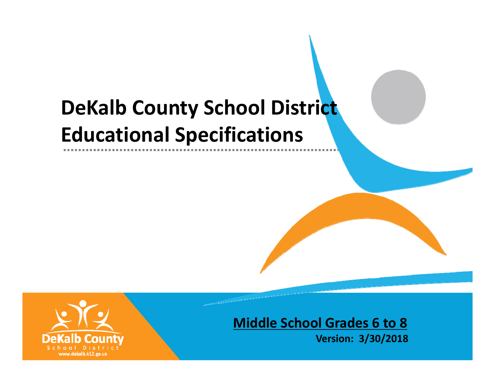# **DeKalb County School District Educational Specifications**



# **Middle School Grades 6 to 8**

**Version: 3/30/2018**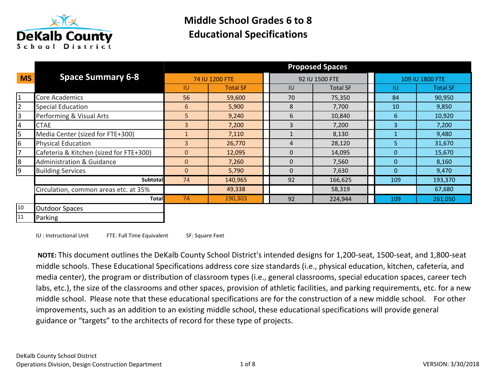

|                |                                         |                |                 |          | <b>Proposed Spaces</b> |                |                 |
|----------------|-----------------------------------------|----------------|-----------------|----------|------------------------|----------------|-----------------|
| <b>MS</b>      | <b>Space Summary 6-8</b>                |                | 74 IU 1200 FTE  |          | 92 IU 1500 FTE         |                | 109 IU 1800 FTE |
|                |                                         | IU             | <b>Total SF</b> | IU       | <b>Total SF</b>        | <b>IU</b>      | <b>Total SF</b> |
| $\overline{1}$ | <b>Core Academics</b>                   | 56             | 59,600          | 70       | 75,350                 | 84             | 90,950          |
| $\overline{2}$ | <b>Special Education</b>                | 6              | 5,900           | 8        | 7,700                  | 10             | 9,850           |
| 3              | Performing & Visual Arts                | 5              | 9,240           | 6        | 10,840                 | 6              | 10,920          |
| 4              | <b>CTAE</b>                             | $\overline{3}$ | 7,200           | 3        | 7,200                  | $\overline{3}$ | 7,200           |
| 5              | Media Center (sized for FTE+300)        |                | 7,110           |          | 8,130                  |                | 9,480           |
| 6              | <b>Physical Education</b>               | $\overline{3}$ | 26,770          | 4        | 28,120                 | 5              | 31,670          |
| $\overline{7}$ | Cafeteria & Kitchen (sized for FTE+300) | $\Omega$       | 12,095          | $\Omega$ | 14,095                 | $\Omega$       | 15,670          |
| $\overline{8}$ | <b>Administration &amp; Guidance</b>    | $\overline{0}$ | 7,260           | $\Omega$ | 7,560                  | $\Omega$       | 8,160           |
| 9              | <b>Building Services</b>                | $\overline{0}$ | 5,790           | 0        | 7,630                  | $\mathbf{0}$   | 9,470           |
|                | <b>Subtotal</b>                         | 74             | 140,965         | 92       | 166,625                | 109            | 193,370         |
|                | Circulation, common areas etc. at 35%   |                | 49,338          |          | 58,319                 |                | 67,680          |
|                | <b>Total</b>                            | 74             | 190,303         | 92       | 224,944                | 109            | 261,050         |
| 10             | <b>Outdoor Spaces</b>                   |                |                 |          |                        |                |                 |
| 11             | Parking                                 |                |                 |          |                        |                |                 |

IU : Instructional Unit FTE: Full Time Equivalent SF: Square Feet

 NOTE: This document outlines the DeKalb County School District's intended designs for 1,200-seat, 1500-seat, and 1,800-seat middle schools. These Educational Specifications address core size standards (i.e., physical education, kitchen, cafeteria, and media center), the program or distribution of classroom types (i.e., general classrooms, special education spaces, career tech labs, etc.), the size of the classrooms and other spaces, provision of athletic facilities, and parking requirements, etc. for a new middle school. Please note that these educational specifications are for the construction of a new middle school. For other improvements, such as an addition to an existing middle school, these educational specifications will provide general guidance or "targets" to the architects of record for these type of projects.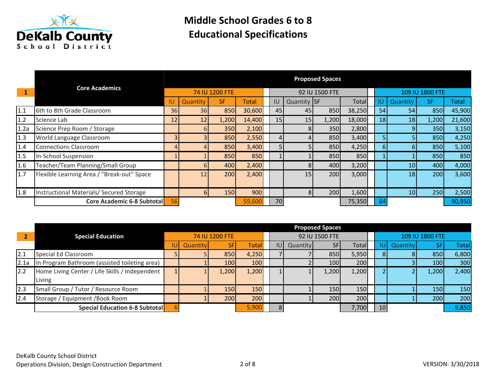

|       |                                            | <b>Proposed Spaces</b> |          |                |        |                 |             |                |        |                 |                 |                 |        |
|-------|--------------------------------------------|------------------------|----------|----------------|--------|-----------------|-------------|----------------|--------|-----------------|-----------------|-----------------|--------|
|       | <b>Core Academics</b>                      |                        |          | 74 IU 1200 FTE |        |                 |             | 92 IU 1500 FTE |        |                 |                 | 109 IU 1800 FTE |        |
|       |                                            | IU                     | Quantity | <b>SF</b>      | Total  | IU              | Quantity SF |                | Total  | IU.             | Quantity        | SF.             | Total  |
| 1.1   | 6th to 8th Grade Classroom                 | 36I                    | 36       | 850            | 30,600 | 45              | 45          | 850            | 38,250 | 54              | 54              | 850             | 45,900 |
| $1.2$ | Science Lab                                | 12                     | 12       | 1,200          | 14,400 | 15 <sup>1</sup> | 15          | 1,200          | 18,000 | 18 <sup>1</sup> | 18              | 1,200           | 21,600 |
| 1.2a  | Science Prep Room / Storage                |                        | 6        | <b>350</b>     | 2,100  |                 | 81          | 350            | 2,800  |                 |                 | <b>350</b>      | 3,150  |
| 1.3   | World Language Classroom                   |                        |          | 850            | 2,550  |                 |             | 850            | 3,400  | 5 <sup>1</sup>  |                 | 850             | 4,250  |
| 1.4   | <b>Connections Classroom</b>               |                        |          | 850            | 3,400  |                 |             | 850            | 4,250  | 6 <sup>1</sup>  |                 | 850             | 5,100  |
| 1.5   | In-School Suspension                       |                        |          | 850            | 850    |                 |             | 850            | 850    |                 |                 | 850             | 850    |
| 1.6   | Teacher/Team Planning/Small Group          |                        | 6        | 400            | 2,400  |                 |             | 400            | 3,200  |                 | 10 <sup>1</sup> | 400             | 4,000  |
| 1.7   | Flexible Learning Area / "Break-out" Space |                        | 12       | 200            | 2,400  |                 | 15          | 200            | 3,000  |                 | 18              | 200             | 3,600  |
| 1.8   | Instructional Materials/ Secured Storage   |                        | 6        | <b>150</b>     | 900    |                 | 81          | 200            | 1,600  |                 | 10              | <b>250</b>      | 2,500  |
|       | <b>Core Academic 6-8 Subtotal</b>          | 56                     |          |                | 59,600 | 70              |             |                | 75,350 | -84             |                 |                 | 90,950 |

|      |                                                |      |          |                |       |     |          | <b>Proposed Spaces</b> |       |     |          |                 |              |
|------|------------------------------------------------|------|----------|----------------|-------|-----|----------|------------------------|-------|-----|----------|-----------------|--------------|
|      | <b>Special Education</b>                       |      |          | 74 IU 1200 FTE |       |     |          | 92 IU 1500 FTE         |       |     |          | 109 IU 1800 FTE |              |
|      |                                                | IUI. | Quantity |                | Total | IUI | Quantity | <b>SF</b>              | Total | IUT | Quantity |                 | <b>Total</b> |
| 2.1  | Special Ed Classroom                           |      |          | 850            | 4,250 |     |          | 850                    | 5,950 | 81  |          | 850             | 6,800        |
| 2.1a | In Program Bathroom (assisted toileting area)  |      |          | <b>100</b>     | 100   |     |          | 100                    | 200   |     |          | 100             | 300          |
| 2.2  | Home Living Center / Life Skills / Independent |      |          | 1,200          | 1,200 |     |          | 1,200                  | 1,200 |     |          | 1,200           | 2,400        |
|      | Living                                         |      |          |                |       |     |          |                        |       |     |          |                 |              |
| 2.3  | Small Group / Tutor / Resource Room            |      |          | <b>150</b>     | 150   |     |          | 150                    | 150   |     |          | <b>150</b>      | 150          |
| 2.4  | Storage / Equipment / Book Room                |      |          | 200            | 200   |     |          | 200                    | 200   |     |          | 200             | 200          |
|      | <b>Special Education 6-8 Subtotal</b>          |      |          |                | 5,900 |     |          |                        | 7,700 | 10  |          |                 | 9,850        |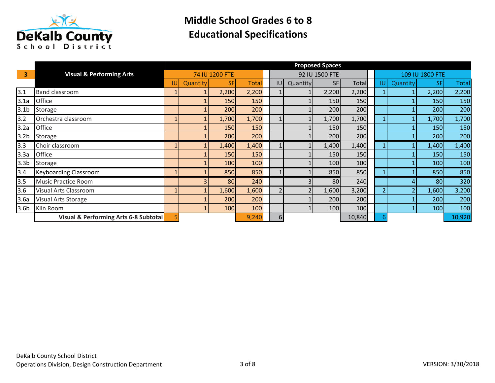

|                         |                                       |     |          |                |              |     |          | <b>Proposed Spaces</b> |        |     |          |                 |              |
|-------------------------|---------------------------------------|-----|----------|----------------|--------------|-----|----------|------------------------|--------|-----|----------|-----------------|--------------|
| $\overline{\mathbf{3}}$ | <b>Visual &amp; Performing Arts</b>   |     |          | 74 IU 1200 FTE |              |     |          | 92 IU 1500 FTE         |        |     |          | 109 IU 1800 FTE |              |
|                         |                                       | IUI | Quantity | <b>SF</b>      | <b>Total</b> | IUI | Quantity | <b>SFI</b>             | Total  | IU. | Quantity | SF              | <b>Total</b> |
| 3.1                     | <b>Band classroom</b>                 |     |          | 2,200          | 2,200        |     |          | 2,200                  | 2,200  |     |          | 2,200           | 2,200        |
| 3.1a                    | Office                                |     |          | <b>150</b>     | 150          |     |          | 150                    | 150    |     |          | <b>150</b>      | 150          |
| 3.1 <sub>b</sub>        | Storage                               |     |          | 200            | 200          |     |          | 200                    | 200    |     |          | 200             | 200          |
| 3.2                     | Orchestra classroom                   |     |          | 1,700          | 1,700        |     |          | 1,700                  | 1,700  |     |          | 1,700           | 1,700        |
| 3.2a                    | Office                                |     |          | 150            | 150          |     |          | 150                    | 150    |     |          | <b>150</b>      | 150          |
| 3.2 <sub>b</sub>        | Storage                               |     |          | 200            | 200          |     |          | 200                    | 200    |     |          | 200             | 200          |
| 3.3                     | Choir classroom                       |     |          | 1,400          | 1,400        |     |          | 1,400                  | 1,400  |     |          | 1,400           | 1,400        |
| 3.3a                    | Office                                |     |          | <b>150</b>     | 150          |     |          | 150                    | 150    |     |          | <b>150</b>      | 150          |
| 3.3 <sub>b</sub>        | Storage                               |     |          | 100            | 100          |     |          | 100                    | 100    |     |          | 100             | 100          |
| 3.4                     | <b>Keyboarding Classroom</b>          |     |          | 850            | 850          |     |          | 850                    | 850    |     |          | 850             | 850          |
| 3.5                     | <b>Music Practice Room</b>            |     |          | 80             | 240          |     |          | 80                     | 240    |     |          | 80              | 320          |
| 3.6                     | Visual Arts Classroom                 |     |          | 1,600          | 1,600        |     |          | 1,600                  | 3,200  |     |          | 1,600           | 3,200        |
| 3.6a                    | Visual Arts Storage                   |     |          | 200            | 200          |     |          | 200                    | 200    |     |          | <b>200</b>      | 200          |
| 3.6 <sub>b</sub>        | Kiln Room                             |     |          | 100            | 100          |     |          | 100                    | 100    |     |          | 100             | 100          |
|                         | Visual & Performing Arts 6-8 Subtotal |     |          |                | 9,240        | 6   |          |                        | 10,840 | 61  |          |                 | 10,920       |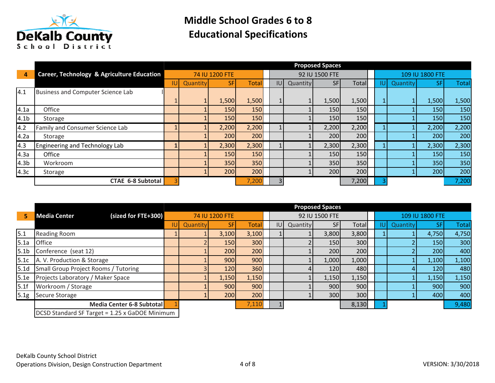

|                  |                                            | <b>Proposed Spaces</b> |                 |                |            |     |          |                |       |     |          |                 |              |
|------------------|--------------------------------------------|------------------------|-----------------|----------------|------------|-----|----------|----------------|-------|-----|----------|-----------------|--------------|
| 4                | Career, Technology & Agriculture Education |                        |                 | 74 IU 1200 FTE |            |     |          | 92 IU 1500 FTE |       |     |          | 109 IU 1800 FTE |              |
|                  |                                            | IUI.                   | <b>Quantity</b> | <b>SF</b>      | Total      | IU. | Quantity | <b>SF</b>      | Total | IUI | Quantity | <b>SF</b>       | <b>Total</b> |
| 4.1              | Business and Computer Science Lab          |                        |                 |                |            |     |          |                |       |     |          |                 |              |
|                  |                                            |                        |                 | 1,500          | 1,500      |     |          | 1,500          | 1,500 |     |          | 1,500           | 1,500        |
| 4.1a             | Office                                     |                        |                 | <b>150</b>     | 150        |     |          | 150            | 150   |     |          | <b>150</b>      | 150          |
| 4.1 <sub>b</sub> | Storage                                    |                        |                 | <b>150</b>     | <b>150</b> |     |          | 150            | 150   |     |          | <b>150</b>      | 150          |
| 4.2              | Family and Consumer Science Lab            |                        |                 | 2,200          | 2,200      |     |          | 2,200          | 2,200 |     |          | 2,200           | 2,200        |
| 4.2a             | Storage                                    |                        |                 | 200            | 200        |     |          | 200            | 200   |     |          | 200             | 200          |
| 4.3              | Engineering and Technology Lab             |                        |                 | 2,300          | 2,300      |     |          | 2,300          | 2,300 |     |          | 2,300           | 2,300        |
| 4.3a             | Office                                     |                        |                 | <b>150</b>     | 150        |     |          | 150            | 150   |     |          | <b>150</b>      | 150          |
| 4.3 <sub>b</sub> | Workroom                                   |                        |                 | <b>350</b>     | 350        |     |          | 350            | 350   |     |          | 350             | 350          |
| 4.3c             | Storage                                    |                        |                 | 200            | 200        |     |          | 200            | 200   |     |          | 200             | 200          |
|                  | <b>CTAE 6-8 Subtotal</b>                   |                        |                 |                | 7,200      |     |          |                | 7,200 |     |          |                 | 7,200        |

|                  |                                                |          |                |              |     |          | <b>Proposed Spaces</b> |       |     |          |                 |              |
|------------------|------------------------------------------------|----------|----------------|--------------|-----|----------|------------------------|-------|-----|----------|-----------------|--------------|
| 5                | (sized for FTE+300)<br><b>Media Center</b>     |          | 74 IU 1200 FTE |              |     |          | 92 IU 1500 FTE         |       |     |          | 109 IU 1800 FTE |              |
|                  |                                                | Quantity |                | <b>Total</b> | IU. | Quantity | <b>SF</b>              | Total | IU. | Quantity |                 | <b>Total</b> |
| 5.1              | <b>Reading Room</b>                            |          | 3,100          | 3,100        |     |          | 3,800                  | 3,800 |     |          | 4,750           | 4,750        |
| 5.1a             | <b>Office</b>                                  |          | <b>150</b>     | 300          |     |          | <b>150</b>             | 300   |     |          | <b>150</b>      | 300          |
| 5.1 <sub>b</sub> | Conference (seat 12)                           |          | <b>2001</b>    | 200          |     |          | 200                    | 200   |     |          | <b>2001</b>     | 400          |
| 5.1c             | A. V. Production & Storage                     |          | 900            | 900          |     |          | 1,000                  | 1,000 |     |          | 1,100           | 1,100        |
| 5.1 <sub>d</sub> | Small Group Project Rooms / Tutoring           |          | 120            | 360          |     |          | 120                    | 480   |     |          | <b>120</b>      | 480          |
| 5.1e             | Projects Laboratory / Maker Space              |          | 1,150          | 1,150        |     |          | 1,150                  | 1,150 |     |          | 1,150           | 1,150        |
| 5.1f             | Workroom / Storage                             |          | 900l           | 900          |     |          | 900                    | 900   |     |          | 900             | 900          |
| 5.1g             | Secure Storage                                 |          | 200            | 200          |     |          | 300                    | 300   |     |          | 400             | 400          |
|                  | Media Center 6-8 Subtotal                      |          |                | 7,110        |     |          |                        | 8,130 |     |          |                 | 9,480        |
|                  | DCSD Standard SF Target = 1.25 x GaDOE Minimum |          |                |              |     |          |                        |       |     |          |                 |              |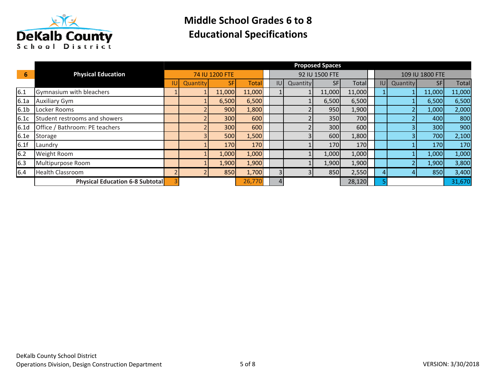

|                  |                                        |          |                |              |     |          | <b>Proposed Spaces</b> |        |            |          |                 |              |
|------------------|----------------------------------------|----------|----------------|--------------|-----|----------|------------------------|--------|------------|----------|-----------------|--------------|
| 6                | <b>Physical Education</b>              |          | 74 IU 1200 FTE |              |     |          | 92 IU 1500 FTE         |        |            |          | 109 IU 1800 FTE |              |
|                  |                                        | Quantity | <b>SF</b>      | <b>Total</b> | IUI | Quantity | <b>SF</b>              | Total  | <b>IUI</b> | Quantity | <b>SFI</b>      | <b>Total</b> |
| 6.1              | Gymnasium with bleachers               |          | 11,000         | 11,000       |     |          | 11,000                 | 11,000 |            |          | 11,000          | 11,000       |
| 6.1a             | <b>Auxiliary Gym</b>                   |          | 6,500          | 6,500        |     |          | 6,500                  | 6,500  |            |          | 6,500           | 6,500        |
| 6.1 <sub>b</sub> | Locker Rooms                           |          | 900            | 1,800        |     |          | 950                    | 1,900  |            |          | 1,000           | 2,000        |
| 6.1c             | Student restrooms and showers          |          | <b>300</b>     | 600          |     |          | 350                    | 700    |            |          | 400l            | 800          |
| 6.1 <sub>d</sub> | Office / Bathroom: PE teachers         |          | <b>300</b>     | 600          |     |          | 300                    | 600    |            |          | 300             | 900          |
| 6.1e             | Storage                                |          | <b>500</b>     | 1,500        |     |          | 600                    | 1,800  |            |          | 700             | 2,100        |
| 6.1f             | Laundry                                |          | <b>170</b>     | 170          |     |          | 170                    | 170    |            |          | <b>170</b>      | 170          |
| 6.2              | <b>Weight Room</b>                     |          | 1,000          | 1,000        |     |          | 1,000                  | 1,000  |            |          | 1,000           | 1,000        |
| 6.3              | Multipurpose Room                      |          | 1,900          | 1,900        |     |          | 1,900                  | 1,900  |            |          | 1,900           | 3,800        |
| 6.4              | <b>Health Classroom</b>                |          | 850l           | 1,700        |     |          | 850                    | 2,550  | 4          |          | 850             | 3,400        |
|                  | <b>Physical Education 6-8 Subtotal</b> |          |                | 26,770       |     |          |                        | 28,120 |            |          |                 | 31,670       |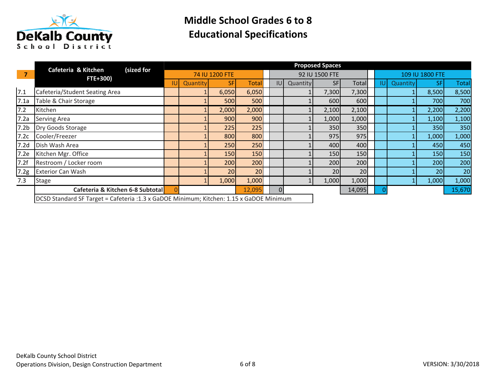

|                  | (sized for<br>Cafeteria & Kitchen                                                       |     |          |                |              |          |          | <b>Proposed Spaces</b> |        |     |          |                 |              |
|------------------|-----------------------------------------------------------------------------------------|-----|----------|----------------|--------------|----------|----------|------------------------|--------|-----|----------|-----------------|--------------|
| $\overline{7}$   | FTE+300)                                                                                |     |          | 74 IU 1200 FTE |              |          |          | 92 IU 1500 FTE         |        |     |          | 109 IU 1800 FTE |              |
|                  |                                                                                         | IUI | Quantity | SF             | <b>Total</b> | IUI      | Quantity | <b>SF</b>              | Totall | IUI | Quantity | <b>SF</b>       | <b>Total</b> |
| 7.1              | Cafeteria/Student Seating Area                                                          |     |          | 6,050          | 6,050        |          |          | 7,300                  | 7,300  |     |          | 8,500           | 8,500        |
| 7.1a             | Table & Chair Storage                                                                   |     |          | 500            | 500          |          |          | 600                    | 600    |     |          | 700             | 700          |
| 7.2              | Kitchen                                                                                 |     |          | 2,000          | 2,000        |          |          | 2,100                  | 2,100  |     |          | 2,200           | 2,200        |
| 7.2a             | <b>Serving Area</b>                                                                     |     |          | 900            | 900          |          |          | 1,000                  | 1,000  |     |          | 1,100           | 1,100        |
| 7.2 <sub>b</sub> | Dry Goods Storage                                                                       |     |          | 225            | 225          |          |          | 350                    | 350    |     |          | 350             | 350          |
| 7.2c             | Cooler/Freezer                                                                          |     |          | 800            | 800          |          |          | 975                    | 975    |     |          | 1,000           | 1,000        |
| 7.2 <sub>d</sub> | Dish Wash Area                                                                          |     |          | 250            | 250          |          |          | 400                    | 400    |     |          | 450             | 450          |
| 7.2e             | Kitchen Mgr. Office                                                                     |     |          | <b>150</b>     | 150          |          |          | 150                    | 150    |     |          | 150             | 150          |
| 7.2f             | Restroom / Locker room                                                                  |     |          | 200            | 200          |          |          | 200                    | 200    |     |          | 200             | 200          |
| 7.2g             | <b>Exterior Can Wash</b>                                                                |     |          | 20             | 20           |          |          | 20                     | 20     |     |          | 20              | 20           |
| 7.3              | <b>Stage</b>                                                                            |     |          | 1,000          | 1,000        |          |          | 1,000                  | 1,000  |     |          | 1,000           | 1,000        |
|                  | Cafeteria & Kitchen 6-8 Subtotal                                                        |     |          |                | 12,095       | $\Omega$ |          |                        | 14,095 |     |          |                 | 15,670       |
|                  | DCSD Standard SF Target = Cafeteria :1.3 x GaDOE Minimum; Kitchen: 1.15 x GaDOE Minimum |     |          |                |              |          |          |                        |        |     |          |                 |              |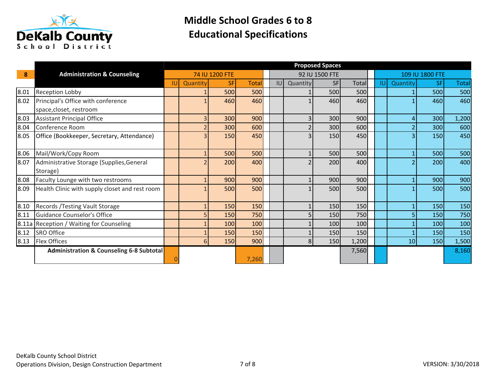

|      |                                                       | <b>Proposed Spaces</b> |          |                |              |            |                |                |       |            |          |                 |              |
|------|-------------------------------------------------------|------------------------|----------|----------------|--------------|------------|----------------|----------------|-------|------------|----------|-----------------|--------------|
| 8    | <b>Administration &amp; Counseling</b>                |                        |          | 74 IU 1200 FTE |              |            |                | 92 IU 1500 FTE |       |            |          | 109 IU 1800 FTE |              |
|      |                                                       | IU.                    | Quantity | <b>SF</b>      | <b>Total</b> | <b>IUI</b> | Quantity       | <b>SF</b>      | Total | <b>IUI</b> | Quantity | <b>SF</b>       | <b>Total</b> |
| 8.01 | Reception Lobby                                       |                        |          | 500            | 500          |            |                | 500            | 500   |            |          | 500             | 500          |
| 8.02 | Principal's Office with conference                    |                        |          | 460            | 460          |            |                | 460            | 460   |            |          | 460             | 460          |
|      | space, closet, restroom                               |                        |          |                |              |            |                |                |       |            |          |                 |              |
| 8.03 | <b>Assistant Principal Office</b>                     |                        |          | 300            | 900          |            | 3              | 300            | 900   |            |          | 300             | 1,200        |
| 8.04 | Conference Room                                       |                        |          | 300            | 600          |            |                | 300            | 600   |            |          | 300             | 600          |
| 8.05 | Office (Bookkeeper, Secretary, Attendance)            |                        |          | 150            | 450          |            |                | 150            | 450   |            |          | <b>150</b>      | 450          |
| 8.06 | Mail/Work/Copy Room                                   |                        |          | 500            | 500          |            |                | 500            | 500   |            |          | 500             | 500          |
| 8.07 | Administrative Storage (Supplies, General<br>Storage) |                        |          | 200            | 400          |            |                | 200            | 400   |            |          | 200             | 400          |
| 8.08 | Faculty Lounge with two restrooms                     |                        |          | 900            | 900          |            |                | 900            | 900   |            |          | 900             | 900          |
| 8.09 | Health Clinic with supply closet and rest room        |                        |          | 500            | 500          |            |                | 500            | 500   |            |          | 500             | 500          |
| 8.10 | Records / Testing Vault Storage                       |                        |          | 150            | 150          |            |                | 150            | 150   |            |          | <b>150</b>      | 150          |
| 8.11 | <b>Guidance Counselor's Office</b>                    |                        | 5        | 150            | 750          |            |                | 150            | 750   |            |          | 150             | 750          |
|      | 8.11a Reception / Waiting for Counseling              |                        |          | 100            | 100          |            |                | 100            | 100   |            |          | 100             | 100          |
| 8.12 | <b>SRO Office</b>                                     |                        |          | 150            | 150          |            |                | 150            | 150   |            |          | <b>150</b>      | 150          |
| 8.13 | <b>Flex Offices</b>                                   |                        | 6        | 150            | 900          |            | 8 <sup>1</sup> | 150            | 1,200 |            | 10       | 150             | 1,500        |
|      | <b>Administration &amp; Counseling 6-8 Subtotal</b>   |                        |          |                | 7,260        |            |                |                | 7,560 |            |          |                 | 8,160        |